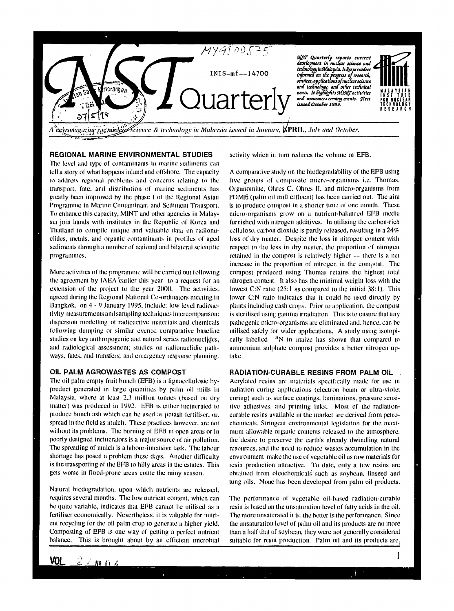

# **REGIONAL MARINE ENVIRONMENTAL STUDIES**

The level and type of contaminants in marine sediments can tell a story of what happens inland and offshore. The capacity to address regional problems and concerns relating to the transport, fate, and distribution of marine sediments has greatly been improved by the phase I of the Regional Asian Programme in Marine Contaminant and Sediment Transport. To enhance this capacity, MINT and other agencies in Malaysia join hands with institutes in the Republic of Korea and Thailand to compile unique and valuable data on radionuclides, metals, and organic contaminants in profiles of aged sediments through a number of national and bilateral scientific programmes.

More activities of the programme will be carried out following the agreement by IAEA earlier this year to a request for an extension of the project to the year 2000. The activities, agreed during the Regional National Co-ordinaiors meeting in Bangkok, on 4 - 9 January 1995, include: low level radioactivity measurements and sampling techniques intercomparison: dispersion modelling of radioactive materials and chemicals following dumping or similar events: comparative baseline studies on key anthropogenic and natural series radionuclides, and radiological assessment; studies on radionuclidic pathways, fates, and transfers; and emergency response planning.

#### **OIL PALM AGROWASTES AS COMPOST**

The oil palm empty fruit bunch (EFB) is a lignoccllulosic byproduct generated in large quantities by palm oil mills in Malaysia, where at least 2.3 million tonnes (based on dry matter) was produced in 1992. EFB is either incinerated to produce bunch ash which can he used as potash fertiliser, or. spread in the field as mulch. These practices however, are not without its problems. The burning of EFB in open areas or in poorly designed incinerators is a major source of air pollution. The spreading of mulch is a labour-intensive task. The labour shortage has posed a problem these days. Another difficulty is the transporting of the EFB to hilly areas in the estates. This gets worse in flood-prone areas come the rainy season.

Natural biodegradation, upon which nutrients are released, requires several months. The low nutrient content, which can be quite variable, indicates that EFB cannot be utilised as a fertiliser economically. Nevertheless, it is valuable for nutrient recycling for the oil palm crop to generate a higher yield. Composting of EFB is one way of getting a perfect nutrient balance. This is brought about by an efficient microbial

activity which in turn reduces the volume of EFB.

A comparative study on the biodcgradability of the EFB using five groups of composite micro-organisms i.e. Thomas, Organomine, Ohrcs C, Ohres II, and micro-organisms from POME (palm oil mill effluent) has been carried out. The aim is to produce compost in a shorter time of one month. These micro-organisms grow on a nutrient-balanced EFB media furnished with nitrogen additives. In utilising the carbon-rich cellulose, carbon dioxide is partly released, resulting in a 24% loss of dry matter. Despite the loss in nitrogen content with respect to the loss in dry matter, the proportion of nitrogen retained in the compost is relatively higher --• there is a net increase in the proportion of nitrogen in the compost. The compost produced using Thomas retains the highest total nitrogen content. It also has the minimal weight loss with the lowest C:N ratio (25:1 as compared to the initial 38:1). This lower C:N ratio indicates that it could be used directly by plants including cash crops. Prior to application, the compost is sterilised using gamma irradiation. This is to ensure that any pathogenic micro-organisms are eliminated and. hence, can be utilised safely for wider applications. A study using isotopically labelled  $\frac{15}{15}$  in maize has shown that compared to ammonium sulphate compost provides a better nitrogen uptake.

#### **RADIATION-CURABLE RESINS FROM PALM OIL**

Aerylatcd resins are materials specifically made for use in radiation curing applications (electron beam or ultra-violet curing) such as surface coatings, laminations, pressure sensitive adhesives, and printing inks. Most of the radiationcurable resins available in die market are derived from petrochemicals. Stringent environmental legislation for the maximum allowable organic contents released to the atmosphere, the desire to preserve the earth's already dwindling natural resources, and the need to reduce wastes accumulation in the environment make the use of vegetable oil as raw materials for resin production attractive. To date, only a few resins arc obtained from oleochemicals such as soybean, linseed and lung oils. None has been developed from palm oil products.

The performance of vegetable oil-based radiation-curable resin is based on the unsaturation level of fatty acids in the oil. The more unsaturated it is, the better is the performance. Since the unsaturation level of palm oil and its products are no more than a half thai of soybean, they were not generally considered suitable for resin production. Palm oil and its products arc.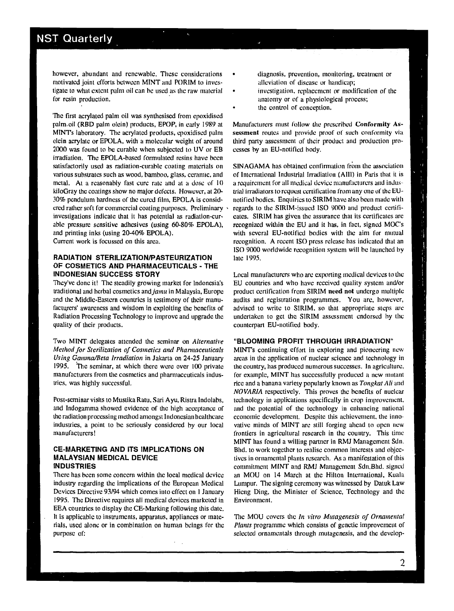# **NST Quarterly**

however, abundant and renewable. These considerations motivated joint efforts between MINT and PORIM to investigate to what extent palm oil can be used as the raw malcrial for resin production.

The first acrylated palm oil was synthesised from epoxidised palm.oil (RBD palm olein) products, EPOP, in early 1989 at MINTs laboratory. The acrylatcd products, epoxidised palm olein acrylalc or EPOLA, with a molecular weight of around 2000 was found to be curable when subjected to UV or EB irradiation. The EPOLA-bascd formulated resins have been satisfactorily used as radiation-curable coating materials on various substrates such as wood, bamboo, glass, ceramic, and metal. At a reasonably fast cure rate and at a dose of 10 kiloGray the coatings show no major defects. However, at 20- 30% pendulum hardness of the cured film, EPOLA is considered rather soft for commercial coating purposes. Preliminary investigations indicate that it has potential as radiation-curable pressure sensitive adhesives (using 60-80% EPOLA), and printing inks (using 20-40% EPOLA).

Current work is focussed on this area.

# **RADIATION STERILIZATION/PASTEURIZATION OF COSMETICS AND PHARMACEUTICALS - THE INDONESIAN SUCCESS STORY**

They've done it! The steadily growing market for Indonesia's traditional and herbal cosmetics *and jamu* in Malaysia, Europe and the Middle-Eastern countries is testimony of their manufacturers' awareness and wisdom in exploiting the benefits of Radiation Processing Technology to improve and upgrade the quality of their products.

Two MINT delegates attended the seminar on *Alternative Method for Sterilization of Cosmetics and Pharmaceuticals Using Gamma/Beta Irradiation* in Jakarta on 24-25 January 1995. The seminar, at which there were over 100 private manufacturers from the cosmetics and pharmaceuticals industries, was highly successful.

Post-seminar visits to Mustika Ratu, Sari Ayu, Ristra Indolabs, and Indogamma showed evidence of the high acceptance of the radiation processing method amongst Indonesian healthcare industries, a point to be seriously considered by our local manufacturers!

#### **CE-MARKETING AND ITS IMPLICATIONS ON MALAYSIAN MEDICAL DEVICE INDUSTRIES**

There has been some concern within the local medical device industry regarding the implications of the European Medical Devices Directive 93/94 which comes into effect on 1 January 1995. The Directive requires all medical devices marketed in EEA countries to display the CE-Marking following this date. It is applicable to instruments, apparatus, appliances or materials, used alone or in combination on human beings for the purpose of:

- diagnosis, prevention, monitoring, treatment or alleviation of disease or handicap;
- investigation, replacement or modification of the anatomy or of a physiological process;
- the control of conception.

Manufacturers must follow die prescribed **Conformity** Assessment routes and provide proof of such conformity via third party assessment of their product and production processes by an EU-notified body.

S1NAGAMA has obtained confirmation from the association of International Industrial Irradiation (AIII) in Paris that it is a requirement for all medical device manufacturers and industrial irradiators to request certification from any one of the EUnotified bodies. Enquiries to SIRIM have also been made with regards to the SIRlM-issued ISO 9000 and product certificates. SIRIM has given the assurance that its certificates arc recognized within the EU and it has, in fact, signed MOC's with several EU-notified bodies widi the aim for mutual recognition. A recent ISO press release has indicated that an ISO 9000 worldwide recognition system will be launched by late 1995.

Local manufacturers who are exporting medical devices to the EU countries and who have received quality system and/or product certification from SIRIM need **not** undergo multiple audits and registration programmes. You are, however, advised to write to SIRIM, so that appropriate steps are undertaken to get the SIRIM assessment endorsed by the counterpart EU-notified body.

## **"BLOOMING PROFIT THROUGH IRRADIATION"**

MINTs continuing effort in exploring and pioneering new areas in the application of nuclear science and technology in the country, has produced numerous successes. In agriculture, for example, MINT has successfully produced a new mutant rice and a banana variety popularly known as *Tongkat Ali* and *NOVARIA* respectively. This proves the benefits of nuclear technology in applications specifically in crop improvement, and die potential of die technology in enhancing national economic development. Despite this achievement, the innovative minds of MINT are still forging ahead to open new frontiers in agricultural research in the country. This time MINT has found a willing partner in RMJ Management Sdn. Bhd. to work together to realise common interests and objectives in ornamental plants research. As a manifestation of this commitment MINT and RMJ Management Sdn.Bhd. signed an MOU on 14 March at the Hilton International, Kuala Lumpur. The signing ceremony was witnessed by Datuk Law Hieng Ding, the Minister of Science, Technology and the Environment.

The MOU covers the *In vitro Mutagenesis of Ornamental Plants* programme which consists of genetic improvement of selected ornamentals through mutagenesis, and the develop4

 $\begin{bmatrix} 1 \\ 1 \end{bmatrix}$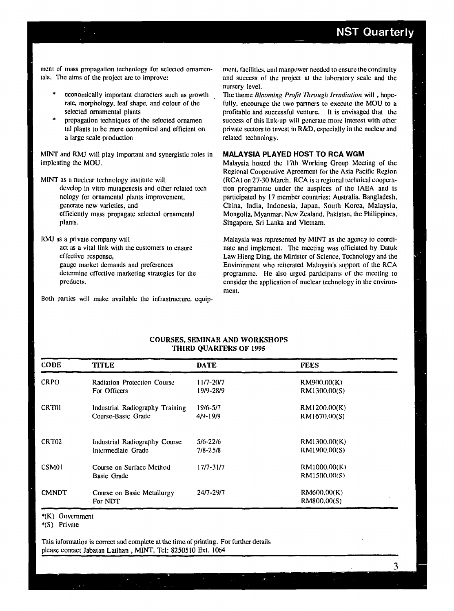ment of mass propagation technology for selected ornamentals. The aims of the project arc to improve:

- economically important characters such as growth rate, morphology, leaf shape, and colour of the selected ornamental plants
- propagation techniques of the selected ornamen tal plants to be more economical and efficient on a large scale production

MINT and RMJ will play important and synergistic roles in implcnting the MOU.

- MINT as a nuclear technology institute will develop in vitro mutagenesis and other related tech nology for ornamental plants improvement, generate new varieties, and efficiently mass propagate selected ornamental plants.
- RMJ as a private company will act as a vital link with the customers to ensure effective response, gauge market demands and preferences determine effective marketing strategies for the products.

Both parties will make available the infrastructure, equip-

ment, facilities, and manpower needed to ensure the continuity and success of the project at the laboratory scale and the nursery level.

The theme *Blooming Profit Tlxrough Irradiation* will, hopefully, encourage the two partners to execute the MOU to a profitable and successful venture. It is envisaged that die success of this link-up will generate more interest with other private sectors to invest in R&D, especially in the nuclear and related technology.

# **MALAYSIA PLAYED HOST TO RCA WGM**

Malaysia hosted the 17th Working Group Meeting of the Regional Cooperative Agreement for the Asia Pacific Region (RCA) on 27-30 March. RCA is a regional technical cooperation programme under the auspices of the IAEA and is participated by 17 member countries: Australia. Bangladesh, China, India, Indonesia, Japan, South Korea, Malaysia, Mongolia, Myanmar, New Zealand, Pakistan, the Philippines. Singapore, Sri Lanka and Vietnam.

Malaysia was represented by MINT as the agency to coordinate and implement. The meeting was officiated by Datuk Law Hieng Ding, the Minister of Science, Technology and the Environment who reiterated Malaysia's support of the RCA programme. He also urged participants of the meeting to consider the application of nuclear technology in the environment.

| <b>CODE</b>       | <b>TITLE</b>                       | <b>DATE</b>  | <b>FEES</b>  |  |
|-------------------|------------------------------------|--------------|--------------|--|
| <b>CRPO</b>       | <b>Radiation Protection Course</b> | 11/7-20/7    | RM900,00(K)  |  |
|                   | For Officers                       | 19/9-28/9    | RM1300.00(S) |  |
| <b>CRT01</b>      | Industrial Radiography Training    | 19/6-5/7     | RM1200.00(K) |  |
|                   | Course-Basic Grade                 | $4/9 - 19/9$ | RM1670.00(S) |  |
| CRT <sub>02</sub> | Industrial Radiography Course      | $5/6 - 22/6$ | RM1300.00(K) |  |
|                   | Intermediate Grade                 | 7/8-25/8     | RM1900.00(S) |  |
| CSM <sub>01</sub> | Course on Surface Method           | 17/7-31/7    | RM1000.00(K) |  |
|                   | <b>Basic Grade</b>                 |              | RM1500,00(S) |  |
| <b>CMNDT</b>      | Course on Basic Metallurgy         | $247 - 29/7$ | RM600,00(K)  |  |
|                   | For NDT                            |              | RM800.00(S)  |  |

**COURSES, SEMINAR AND WORKSHOPS THIRD QUARTERS OF 1995** 

\*(K) Government

\*(S) Private

This information is correct and complete at the time of printing. For further details please contact Jabatan Latihan , MINT, Tel: 8250510 Ext. 1064